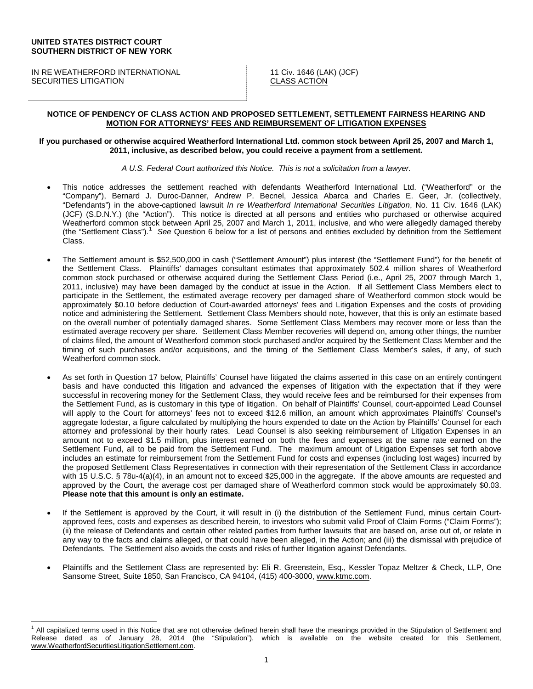#### **UNITED STATES DISTRICT COURT SOUTHERN DISTRICT OF NEW YORK**

IN RE WEATHERFORD INTERNATIONAL SECURITIES LITIGATION

11 Civ. 1646 (LAK) (JCF) CLASS ACTION

## **NOTICE OF PENDENCY OF CLASS ACTION AND PROPOSED SETTLEMENT, SETTLEMENT FAIRNESS HEARING AND MOTION FOR ATTORNEYS' FEES AND REIMBURSEMENT OF LITIGATION EXPENSES**

#### **If you purchased or otherwise acquired Weatherford International Ltd. common stock between April 25, 2007 and March 1, 2011, inclusive, as described below, you could receive a payment from a settlement.**

## *A U.S. Federal Court authorized this Notice. This is not a solicitation from a lawyer.*

- This notice addresses the settlement reached with defendants Weatherford International Ltd. ("Weatherford" or the "Company"), Bernard J. Duroc-Danner, Andrew P. Becnel, Jessica Abarca and Charles E. Geer, Jr. (collectively, "Defendants") in the above-captioned lawsuit *In re Weatherford International Securities Litigation*, No. 11 Civ. 1646 (LAK) (JCF) (S.D.N.Y.) (the "Action"). This notice is directed at all persons and entities who purchased or otherwise acquired Weatherford common stock between April 25, 2007 and March 1, 2011, inclusive, and who were allegedly damaged thereby (the "Settlement Class").[1](#page-0-0) *See* Question 6 below for a list of persons and entities excluded by definition from the Settlement Class.
- The Settlement amount is \$52,500,000 in cash ("Settlement Amount") plus interest (the "Settlement Fund") for the benefit of the Settlement Class. Plaintiffs' damages consultant estimates that approximately 502.4 million shares of Weatherford common stock purchased or otherwise acquired during the Settlement Class Period (i.e., April 25, 2007 through March 1, 2011, inclusive) may have been damaged by the conduct at issue in the Action. If all Settlement Class Members elect to participate in the Settlement, the estimated average recovery per damaged share of Weatherford common stock would be approximately \$0.10 before deduction of Court-awarded attorneys' fees and Litigation Expenses and the costs of providing notice and administering the Settlement. Settlement Class Members should note, however, that this is only an estimate based on the overall number of potentially damaged shares. Some Settlement Class Members may recover more or less than the estimated average recovery per share. Settlement Class Member recoveries will depend on, among other things, the number of claims filed, the amount of Weatherford common stock purchased and/or acquired by the Settlement Class Member and the timing of such purchases and/or acquisitions, and the timing of the Settlement Class Member's sales, if any, of such Weatherford common stock.
- As set forth in Question 17 below, Plaintiffs' Counsel have litigated the claims asserted in this case on an entirely contingent basis and have conducted this litigation and advanced the expenses of litigation with the expectation that if they were successful in recovering money for the Settlement Class, they would receive fees and be reimbursed for their expenses from the Settlement Fund, as is customary in this type of litigation. On behalf of Plaintiffs' Counsel, court-appointed Lead Counsel will apply to the Court for attorneys' fees not to exceed \$12.6 million, an amount which approximates Plaintiffs' Counsel's aggregate lodestar, a figure calculated by multiplying the hours expended to date on the Action by Plaintiffs' Counsel for each attorney and professional by their hourly rates. Lead Counsel is also seeking reimbursement of Litigation Expenses in an amount not to exceed \$1.5 million, plus interest earned on both the fees and expenses at the same rate earned on the Settlement Fund, all to be paid from the Settlement Fund. The maximum amount of Litigation Expenses set forth above includes an estimate for reimbursement from the Settlement Fund for costs and expenses (including lost wages) incurred by the proposed Settlement Class Representatives in connection with their representation of the Settlement Class in accordance with 15 U.S.C. § 78u-4(a)(4), in an amount not to exceed \$25,000 in the aggregate. If the above amounts are requested and approved by the Court, the average cost per damaged share of Weatherford common stock would be approximately \$0.03. **Please note that this amount is only an estimate.**
- If the Settlement is approved by the Court, it will result in (i) the distribution of the Settlement Fund, minus certain Courtapproved fees, costs and expenses as described herein, to investors who submit valid Proof of Claim Forms ("Claim Forms"); (ii) the release of Defendants and certain other related parties from further lawsuits that are based on, arise out of, or relate in any way to the facts and claims alleged, or that could have been alleged, in the Action; and (iii) the dismissal with prejudice of Defendants. The Settlement also avoids the costs and risks of further litigation against Defendants.
- Plaintiffs and the Settlement Class are represented by: Eli R. Greenstein, Esq., Kessler Topaz Meltzer & Check, LLP, One Sansome Street, Suite 1850, San Francisco, CA 94104, (415) 400-3000[, www.ktmc.com.](http://www.ktmc.com/)

<span id="page-0-0"></span><sup>1</sup> All capitalized terms used in this Notice that are not otherwise defined herein shall have the meanings provided in the Stipulation of Settlement and Release dated as of January 28, 2014 (the "Stipulation"), which is available on the website created for this Settlement, www.WeatherfordSecuritiesLitigationSettlement.com.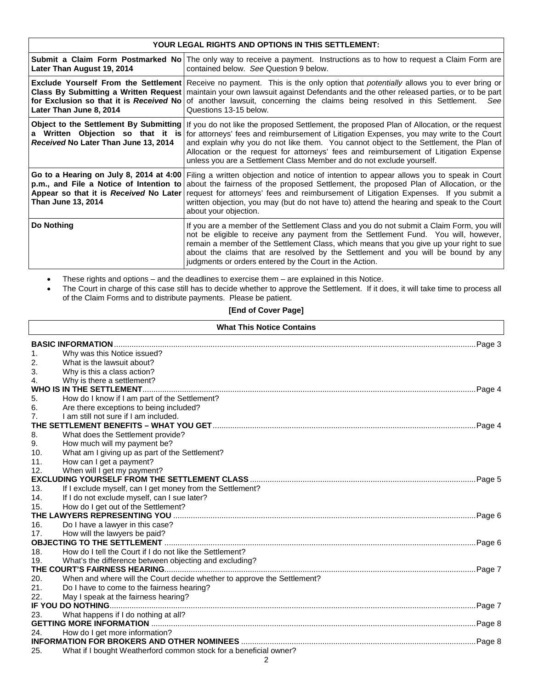| <b>YOUR LEGAL RIGHTS AND OPTIONS IN THIS SETTLEMENT:</b>                                                                                           |                                                                                                                                                                                                                                                                                                                                                                                                                                                     |  |  |  |
|----------------------------------------------------------------------------------------------------------------------------------------------------|-----------------------------------------------------------------------------------------------------------------------------------------------------------------------------------------------------------------------------------------------------------------------------------------------------------------------------------------------------------------------------------------------------------------------------------------------------|--|--|--|
| Later Than August 19, 2014                                                                                                                         | <b>Submit a Claim Form Postmarked No</b> The only way to receive a payment. Instructions as to how to request a Claim Form are<br>contained below. See Question 9 below.                                                                                                                                                                                                                                                                            |  |  |  |
| for Exclusion so that it is Received No<br>Later Than June 8, 2014                                                                                 | Exclude Yourself From the Settlement Receive no payment. This is the only option that potentially allows you to ever bring or<br>Class By Submitting a Written Request   maintain your own lawsuit against Defendants and the other released parties, or to be part<br>of another lawsuit, concerning the claims being resolved in this Settlement.<br>See<br>Questions 13-15 below.                                                                |  |  |  |
| Object to the Settlement By Submitting<br>a Written Objection so that it is<br>Received No Later Than June 13, 2014                                | If you do not like the proposed Settlement, the proposed Plan of Allocation, or the request<br>for attorneys' fees and reimbursement of Litigation Expenses, you may write to the Court<br>and explain why you do not like them. You cannot object to the Settlement, the Plan of<br>Allocation or the request for attorneys' fees and reimbursement of Litigation Expense<br>unless you are a Settlement Class Member and do not exclude yourself. |  |  |  |
| Go to a Hearing on July 8, 2014 at 4:00<br>p.m., and File a Notice of Intention to<br>Appear so that it is Received No Later<br>Than June 13, 2014 | Filing a written objection and notice of intention to appear allows you to speak in Court<br>about the fairness of the proposed Settlement, the proposed Plan of Allocation, or the<br>request for attorneys' fees and reimbursement of Litigation Expenses. If you submit a<br>written objection, you may (but do not have to) attend the hearing and speak to the Court<br>about your objection.                                                  |  |  |  |
| Do Nothing                                                                                                                                         | If you are a member of the Settlement Class and you do not submit a Claim Form, you will<br>not be eligible to receive any payment from the Settlement Fund. You will, however,<br>remain a member of the Settlement Class, which means that you give up your right to sue<br>about the claims that are resolved by the Settlement and you will be bound by any<br>judgments or orders entered by the Court in the Action.                          |  |  |  |

• These rights and options – and the deadlines to exercise them – are explained in this Notice.

Г

• The Court in charge of this case still has to decide whether to approve the Settlement. If it does, it will take time to process all of the Claim Forms and to distribute payments. Please be patient.

# **[End of Cover Page]**

| <b>What This Notice Contains</b> |                                                                         |  |  |
|----------------------------------|-------------------------------------------------------------------------|--|--|
|                                  | <b>BASIC INFORMATION</b>                                                |  |  |
| 1.                               | Why was this Notice issued?                                             |  |  |
| 2.                               | What is the lawsuit about?                                              |  |  |
| 3.                               | Why is this a class action?                                             |  |  |
| 4.                               | Why is there a settlement?                                              |  |  |
|                                  | WHO IS IN THE SETTLEMENT.                                               |  |  |
| 5.                               | How do I know if I am part of the Settlement?                           |  |  |
| 6.                               | Are there exceptions to being included?                                 |  |  |
| 7.                               | I am still not sure if I am included.                                   |  |  |
|                                  |                                                                         |  |  |
| 8.                               | What does the Settlement provide?                                       |  |  |
| 9.                               | How much will my payment be?                                            |  |  |
| 10.                              | What am I giving up as part of the Settlement?                          |  |  |
| 11.                              | How can I get a payment?                                                |  |  |
| 12.                              | When will I get my payment?                                             |  |  |
|                                  |                                                                         |  |  |
| 13.                              | If I exclude myself, can I get money from the Settlement?               |  |  |
| 14.                              | If I do not exclude myself, can I sue later?                            |  |  |
| 15.                              | How do I get out of the Settlement?                                     |  |  |
|                                  | THE LAWYERS REPRESENTING YOU                                            |  |  |
| 16.                              | Do I have a lawyer in this case?                                        |  |  |
| 17.                              | How will the lawyers be paid?                                           |  |  |
|                                  |                                                                         |  |  |
| 18.                              | How do I tell the Court if I do not like the Settlement?                |  |  |
| 19.                              | What's the difference between objecting and excluding?                  |  |  |
|                                  |                                                                         |  |  |
| 20.                              | When and where will the Court decide whether to approve the Settlement? |  |  |
| 21.                              | Do I have to come to the fairness hearing?                              |  |  |
| 22.                              | May I speak at the fairness hearing?                                    |  |  |
|                                  |                                                                         |  |  |
| 23.                              | What happens if I do nothing at all?                                    |  |  |
|                                  |                                                                         |  |  |
| 24.                              | How do I get more information?                                          |  |  |
|                                  |                                                                         |  |  |
| 25.                              | What if I bought Weatherford common stock for a beneficial owner?       |  |  |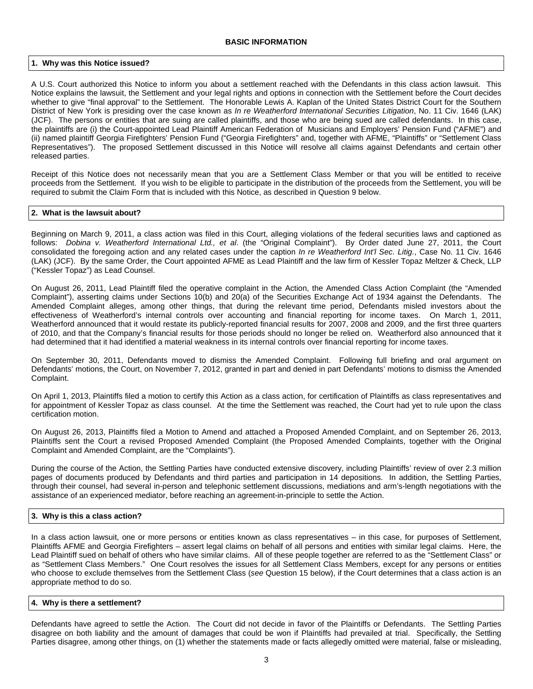#### **1. Why was this Notice issued?**

A U.S. Court authorized this Notice to inform you about a settlement reached with the Defendants in this class action lawsuit. This Notice explains the lawsuit, the Settlement and your legal rights and options in connection with the Settlement before the Court decides whether to give "final approval" to the Settlement. The Honorable Lewis A. Kaplan of the United States District Court for the Southern District of New York is presiding over the case known as *In re Weatherford International Securities Litigation*, No. 11 Civ. 1646 (LAK) (JCF). The persons or entities that are suing are called plaintiffs, and those who are being sued are called defendants. In this case, the plaintiffs are (i) the Court-appointed Lead Plaintiff American Federation of Musicians and Employers' Pension Fund ("AFME") and (ii) named plaintiff Georgia Firefighters' Pension Fund ("Georgia Firefighters" and, together with AFME, "Plaintiffs" or "Settlement Class Representatives"). The proposed Settlement discussed in this Notice will resolve all claims against Defendants and certain other released parties.

Receipt of this Notice does not necessarily mean that you are a Settlement Class Member or that you will be entitled to receive proceeds from the Settlement. If you wish to be eligible to participate in the distribution of the proceeds from the Settlement, you will be required to submit the Claim Form that is included with this Notice, as described in Question 9 below.

## **2. What is the lawsuit about?**

Beginning on March 9, 2011, a class action was filed in this Court, alleging violations of the federal securities laws and captioned as follows: *Dobina v. Weatherford International Ltd., et al*. (the "Original Complaint"). By Order dated June 27, 2011, the Court consolidated the foregoing action and any related cases under the caption *In re Weatherford Int'l Sec. Litig.*, Case No. 11 Civ. 1646 (LAK) (JCF). By the same Order, the Court appointed AFME as Lead Plaintiff and the law firm of Kessler Topaz Meltzer & Check, LLP ("Kessler Topaz") as Lead Counsel.

On August 26, 2011, Lead Plaintiff filed the operative complaint in the Action, the Amended Class Action Complaint (the "Amended Complaint"), asserting claims under Sections 10(b) and 20(a) of the Securities Exchange Act of 1934 against the Defendants. The Amended Complaint alleges, among other things, that during the relevant time period, Defendants misled investors about the effectiveness of Weatherford's internal controls over accounting and financial reporting for income taxes. On March 1, 2011, Weatherford announced that it would restate its publicly-reported financial results for 2007, 2008 and 2009, and the first three quarters of 2010, and that the Company's financial results for those periods should no longer be relied on. Weatherford also announced that it had determined that it had identified a material weakness in its internal controls over financial reporting for income taxes.

On September 30, 2011, Defendants moved to dismiss the Amended Complaint. Following full briefing and oral argument on Defendants' motions, the Court, on November 7, 2012, granted in part and denied in part Defendants' motions to dismiss the Amended Complaint.

On April 1, 2013, Plaintiffs filed a motion to certify this Action as a class action, for certification of Plaintiffs as class representatives and for appointment of Kessler Topaz as class counsel. At the time the Settlement was reached, the Court had yet to rule upon the class certification motion.

On August 26, 2013, Plaintiffs filed a Motion to Amend and attached a Proposed Amended Complaint, and on September 26, 2013, Plaintiffs sent the Court a revised Proposed Amended Complaint (the Proposed Amended Complaints, together with the Original Complaint and Amended Complaint, are the "Complaints").

During the course of the Action, the Settling Parties have conducted extensive discovery, including Plaintiffs' review of over 2.3 million pages of documents produced by Defendants and third parties and participation in 14 depositions. In addition, the Settling Parties, through their counsel, had several in-person and telephonic settlement discussions, mediations and arm's-length negotiations with the assistance of an experienced mediator, before reaching an agreement-in-principle to settle the Action.

## **3. Why is this a class action?**

In a class action lawsuit, one or more persons or entities known as class representatives – in this case, for purposes of Settlement, Plaintiffs AFME and Georgia Firefighters – assert legal claims on behalf of all persons and entities with similar legal claims. Here, the Lead Plaintiff sued on behalf of others who have similar claims. All of these people together are referred to as the "Settlement Class" or as "Settlement Class Members." One Court resolves the issues for all Settlement Class Members, except for any persons or entities who choose to exclude themselves from the Settlement Class (*see* Question 15 below), if the Court determines that a class action is an appropriate method to do so.

#### **4. Why is there a settlement?**

Defendants have agreed to settle the Action. The Court did not decide in favor of the Plaintiffs or Defendants. The Settling Parties disagree on both liability and the amount of damages that could be won if Plaintiffs had prevailed at trial. Specifically, the Settling Parties disagree, among other things, on (1) whether the statements made or facts allegedly omitted were material, false or misleading,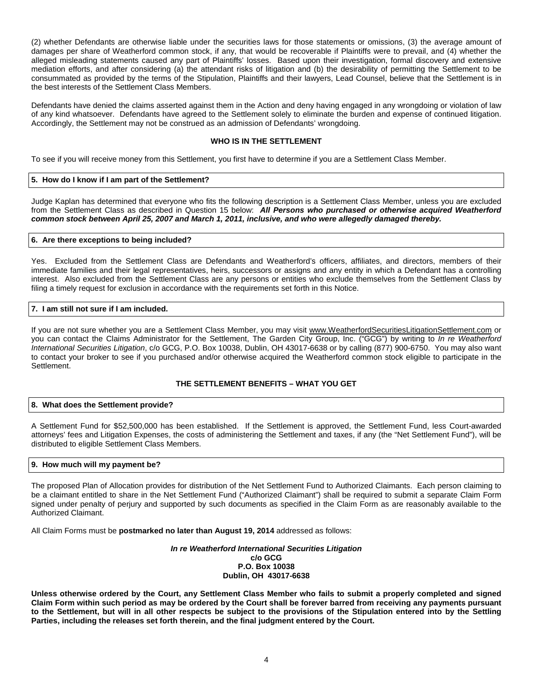(2) whether Defendants are otherwise liable under the securities laws for those statements or omissions, (3) the average amount of damages per share of Weatherford common stock, if any, that would be recoverable if Plaintiffs were to prevail, and (4) whether the alleged misleading statements caused any part of Plaintiffs' losses. Based upon their investigation, formal discovery and extensive mediation efforts, and after considering (a) the attendant risks of litigation and (b) the desirability of permitting the Settlement to be consummated as provided by the terms of the Stipulation, Plaintiffs and their lawyers, Lead Counsel, believe that the Settlement is in the best interests of the Settlement Class Members.

Defendants have denied the claims asserted against them in the Action and deny having engaged in any wrongdoing or violation of law of any kind whatsoever. Defendants have agreed to the Settlement solely to eliminate the burden and expense of continued litigation. Accordingly, the Settlement may not be construed as an admission of Defendants' wrongdoing.

## **WHO IS IN THE SETTLEMENT**

To see if you will receive money from this Settlement, you first have to determine if you are a Settlement Class Member.

## **5. How do I know if I am part of the Settlement?**

Judge Kaplan has determined that everyone who fits the following description is a Settlement Class Member, unless you are excluded from the Settlement Class as described in Question 15 below: *All Persons who purchased or otherwise acquired Weatherford common stock between April 25, 2007 and March 1, 2011, inclusive, and who were allegedly damaged thereby.*

## **6. Are there exceptions to being included?**

Yes. Excluded from the Settlement Class are Defendants and Weatherford's officers, affiliates, and directors, members of their immediate families and their legal representatives, heirs, successors or assigns and any entity in which a Defendant has a controlling interest. Also excluded from the Settlement Class are any persons or entities who exclude themselves from the Settlement Class by filing a timely request for exclusion in accordance with the requirements set forth in this Notice.

## **7. I am still not sure if I am included.**

If you are not sure whether you are a Settlement Class Member, you may visit www.WeatherfordSecuritiesLitigationSettlement.com or you can contact the Claims Administrator for the Settlement, The Garden City Group, Inc. ("GCG") by writing to *In re Weatherford International Securities Litigation*, c/o GCG, P.O. Box 10038, Dublin, OH 43017-6638 or by calling (877) 900-6750. You may also want to contact your broker to see if you purchased and/or otherwise acquired the Weatherford common stock eligible to participate in the **Settlement** 

## **THE SETTLEMENT BENEFITS – WHAT YOU GET**

#### **8. What does the Settlement provide?**

A Settlement Fund for \$52,500,000 has been established. If the Settlement is approved, the Settlement Fund, less Court-awarded attorneys' fees and Litigation Expenses, the costs of administering the Settlement and taxes, if any (the "Net Settlement Fund"), will be distributed to eligible Settlement Class Members.

## **9. How much will my payment be?**

The proposed Plan of Allocation provides for distribution of the Net Settlement Fund to Authorized Claimants. Each person claiming to be a claimant entitled to share in the Net Settlement Fund ("Authorized Claimant") shall be required to submit a separate Claim Form signed under penalty of perjury and supported by such documents as specified in the Claim Form as are reasonably available to the Authorized Claimant.

All Claim Forms must be **postmarked no later than August 19, 2014** addressed as follows:

*In re Weatherford International Securities Litigation* **c/o GCG P.O. Box 10038 Dublin, OH 43017-6638**

**Unless otherwise ordered by the Court, any Settlement Class Member who fails to submit a properly completed and signed Claim Form within such period as may be ordered by the Court shall be forever barred from receiving any payments pursuant to the Settlement, but will in all other respects be subject to the provisions of the Stipulation entered into by the Settling Parties, including the releases set forth therein, and the final judgment entered by the Court.**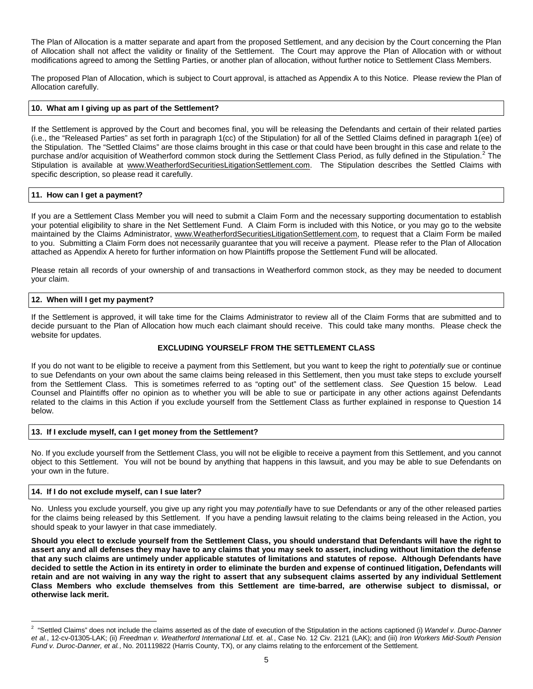The Plan of Allocation is a matter separate and apart from the proposed Settlement, and any decision by the Court concerning the Plan of Allocation shall not affect the validity or finality of the Settlement. The Court may approve the Plan of Allocation with or without modifications agreed to among the Settling Parties, or another plan of allocation, without further notice to Settlement Class Members.

The proposed Plan of Allocation, which is subject to Court approval, is attached as Appendix A to this Notice. Please review the Plan of Allocation carefully.

## **10. What am I giving up as part of the Settlement?**

If the Settlement is approved by the Court and becomes final, you will be releasing the Defendants and certain of their related parties (i.e., the "Released Parties" as set forth in paragraph 1(cc) of the Stipulation) for all of the Settled Claims defined in paragraph 1(ee) of the Stipulation. The "Settled Claims" are those claims brought in this case or that could have been brought in this case and relate to the purchase and/or acquisition of Weatherford common stock during the Settlement Class Period, as fully defined in the Stipulation.<sup>[2](#page-4-0)</sup> The Stipulation is available at www.WeatherfordSecuritiesLitigationSettlement.com. The Stipulation describes the Settled Claims with specific description, so please read it carefully.

### **11. How can I get a payment?**

If you are a Settlement Class Member you will need to submit a Claim Form and the necessary supporting documentation to establish your potential eligibility to share in the Net Settlement Fund. A Claim Form is included with this Notice, or you may go to the website maintained by the Claims Administrator, [www.WeatherfordSecuritiesLitigationSettlement.com,](http://www.weatherfordsecuritieslitigationsettlement.com/) to request that a Claim Form be mailed to you. Submitting a Claim Form does not necessarily guarantee that you will receive a payment. Please refer to the Plan of Allocation attached as Appendix A hereto for further information on how Plaintiffs propose the Settlement Fund will be allocated.

Please retain all records of your ownership of and transactions in Weatherford common stock, as they may be needed to document your claim.

### **12. When will I get my payment?**

If the Settlement is approved, it will take time for the Claims Administrator to review all of the Claim Forms that are submitted and to decide pursuant to the Plan of Allocation how much each claimant should receive. This could take many months. Please check the website for updates.

## **EXCLUDING YOURSELF FROM THE SETTLEMENT CLASS**

If you do not want to be eligible to receive a payment from this Settlement, but you want to keep the right to *potentially* sue or continue to sue Defendants on your own about the same claims being released in this Settlement, then you must take steps to exclude yourself from the Settlement Class. This is sometimes referred to as "opting out" of the settlement class. *See* Question 15 below. Lead Counsel and Plaintiffs offer no opinion as to whether you will be able to sue or participate in any other actions against Defendants related to the claims in this Action if you exclude yourself from the Settlement Class as further explained in response to Question 14 below.

#### **13. If I exclude myself, can I get money from the Settlement?**

No. If you exclude yourself from the Settlement Class, you will not be eligible to receive a payment from this Settlement, and you cannot object to this Settlement. You will not be bound by anything that happens in this lawsuit, and you may be able to sue Defendants on your own in the future.

#### **14. If I do not exclude myself, can I sue later?**

No. Unless you exclude yourself, you give up any right you may *potentially* have to sue Defendants or any of the other released parties for the claims being released by this Settlement. If you have a pending lawsuit relating to the claims being released in the Action, you should speak to your lawyer in that case immediately.

**Should you elect to exclude yourself from the Settlement Class, you should understand that Defendants will have the right to assert any and all defenses they may have to any claims that you may seek to assert, including without limitation the defense that any such claims are untimely under applicable statutes of limitations and statutes of repose. Although Defendants have decided to settle the Action in its entirety in order to eliminate the burden and expense of continued litigation, Defendants will retain and are not waiving in any way the right to assert that any subsequent claims asserted by any individual Settlement Class Members who exclude themselves from this Settlement are time-barred, are otherwise subject to dismissal, or otherwise lack merit.**

<span id="page-4-0"></span> $\frac{1}{2}$ <sup>2</sup> "Settled Claims" does not include the claims asserted as of the date of execution of the Stipulation in the actions captioned (i) Wandel v. Duroc-Danner *et al.*, 12-cv-01305-LAK; (ii) *Freedman v. Weatherford International Ltd. et. al.*, Case No. 12 Civ. 2121 (LAK); and (iii) *Iron Workers Mid-South Pension Fund v. Duroc-Danner, et al.*, No. 201119822 (Harris County, TX), or any claims relating to the enforcement of the Settlement.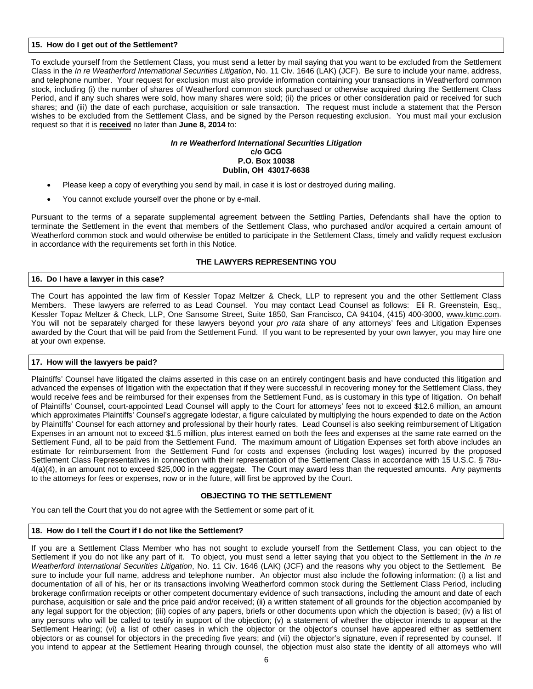## **15. How do I get out of the Settlement?**

To exclude yourself from the Settlement Class, you must send a letter by mail saying that you want to be excluded from the Settlement Class in the *In re Weatherford International Securities Litigation*, No. 11 Civ. 1646 (LAK) (JCF). Be sure to include your name, address, and telephone number. Your request for exclusion must also provide information containing your transactions in Weatherford common stock, including (i) the number of shares of Weatherford common stock purchased or otherwise acquired during the Settlement Class Period, and if any such shares were sold, how many shares were sold; (ii) the prices or other consideration paid or received for such shares; and (iii) the date of each purchase, acquisition or sale transaction. The request must include a statement that the Person wishes to be excluded from the Settlement Class, and be signed by the Person requesting exclusion. You must mail your exclusion request so that it is **received** no later than **June 8, 2014** to:

### *In re Weatherford International Securities Litigation* **c/o GCG P.O. Box 10038 Dublin, OH 43017-6638**

- Please keep a copy of everything you send by mail, in case it is lost or destroyed during mailing.
- You cannot exclude yourself over the phone or by e-mail.

Pursuant to the terms of a separate supplemental agreement between the Settling Parties, Defendants shall have the option to terminate the Settlement in the event that members of the Settlement Class, who purchased and/or acquired a certain amount of Weatherford common stock and would otherwise be entitled to participate in the Settlement Class, timely and validly request exclusion in accordance with the requirements set forth in this Notice.

### **THE LAWYERS REPRESENTING YOU**

### **16. Do I have a lawyer in this case?**

The Court has appointed the law firm of Kessler Topaz Meltzer & Check, LLP to represent you and the other Settlement Class Members. These lawyers are referred to as Lead Counsel. You may contact Lead Counsel as follows: Eli R. Greenstein, Esq., Kessler Topaz Meltzer & Check, LLP, One Sansome Street, Suite 1850, San Francisco, CA 94104, (415) 400-3000, [www.ktmc.com.](http://www.ktmc.com/) You will not be separately charged for these lawyers beyond your *pro rata* share of any attorneys' fees and Litigation Expenses awarded by the Court that will be paid from the Settlement Fund. If you want to be represented by your own lawyer, you may hire one at your own expense.

## **17. How will the lawyers be paid?**

Plaintiffs' Counsel have litigated the claims asserted in this case on an entirely contingent basis and have conducted this litigation and advanced the expenses of litigation with the expectation that if they were successful in recovering money for the Settlement Class, they would receive fees and be reimbursed for their expenses from the Settlement Fund, as is customary in this type of litigation. On behalf of Plaintiffs' Counsel, court-appointed Lead Counsel will apply to the Court for attorneys' fees not to exceed \$12.6 million, an amount which approximates Plaintiffs' Counsel's aggregate lodestar, a figure calculated by multiplying the hours expended to date on the Action by Plaintiffs' Counsel for each attorney and professional by their hourly rates. Lead Counsel is also seeking reimbursement of Litigation Expenses in an amount not to exceed \$1.5 million, plus interest earned on both the fees and expenses at the same rate earned on the Settlement Fund, all to be paid from the Settlement Fund. The maximum amount of Litigation Expenses set forth above includes an estimate for reimbursement from the Settlement Fund for costs and expenses (including lost wages) incurred by the proposed Settlement Class Representatives in connection with their representation of the Settlement Class in accordance with 15 U.S.C. § 78u-4(a)(4), in an amount not to exceed \$25,000 in the aggregate. The Court may award less than the requested amounts. Any payments to the attorneys for fees or expenses, now or in the future, will first be approved by the Court.

## **OBJECTING TO THE SETTLEMENT**

You can tell the Court that you do not agree with the Settlement or some part of it.

## **18. How do I tell the Court if I do not like the Settlement?**

If you are a Settlement Class Member who has not sought to exclude yourself from the Settlement Class, you can object to the Settlement if you do not like any part of it. To object, you must send a letter saying that you object to the Settlement in the *In re Weatherford International Securities Litigation*, No. 11 Civ. 1646 (LAK) (JCF) and the reasons why you object to the Settlement. Be sure to include your full name, address and telephone number. An objector must also include the following information: (i) a list and documentation of all of his, her or its transactions involving Weatherford common stock during the Settlement Class Period, including brokerage confirmation receipts or other competent documentary evidence of such transactions, including the amount and date of each purchase, acquisition or sale and the price paid and/or received; (ii) a written statement of all grounds for the objection accompanied by any legal support for the objection; (iii) copies of any papers, briefs or other documents upon which the objection is based; (iv) a list of any persons who will be called to testify in support of the objection; (v) a statement of whether the objector intends to appear at the Settlement Hearing; (vi) a list of other cases in which the objector or the objector's counsel have appeared either as settlement objectors or as counsel for objectors in the preceding five years; and (vii) the objector's signature, even if represented by counsel. If you intend to appear at the Settlement Hearing through counsel, the objection must also state the identity of all attorneys who will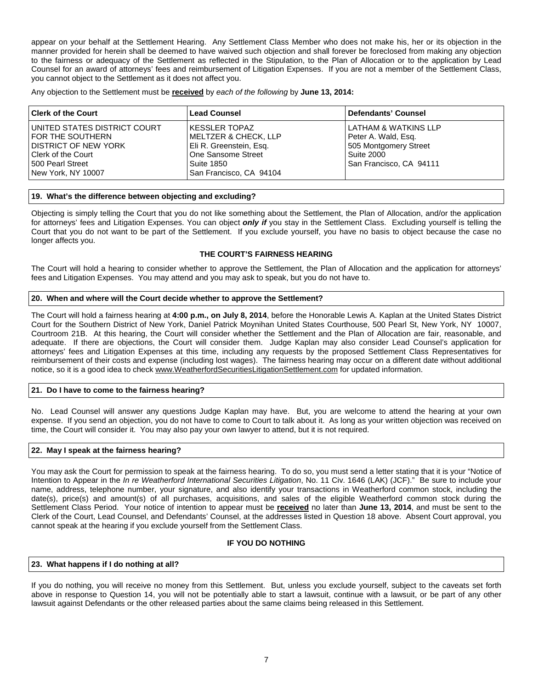appear on your behalf at the Settlement Hearing. Any Settlement Class Member who does not make his, her or its objection in the manner provided for herein shall be deemed to have waived such objection and shall forever be foreclosed from making any objection to the fairness or adequacy of the Settlement as reflected in the Stipulation, to the Plan of Allocation or to the application by Lead Counsel for an award of attorneys' fees and reimbursement of Litigation Expenses. If you are not a member of the Settlement Class, you cannot object to the Settlement as it does not affect you.

Any objection to the Settlement must be **received** by *each of the following* by **June 13, 2014:**

| l Clerk of the Court                                                                                                                             | <b>Lead Counsel</b>                                                                                                                          | Defendants' Counsel                                                                                            |
|--------------------------------------------------------------------------------------------------------------------------------------------------|----------------------------------------------------------------------------------------------------------------------------------------------|----------------------------------------------------------------------------------------------------------------|
| I UNITED STATES DISTRICT COURT<br>FOR THE SOUTHERN<br>I DISTRICT OF NEW YORK<br>l Clerk of the Court<br>l 500 Pearl Street<br>New York, NY 10007 | l KESSLER TOPAZ<br><b>MELTZER &amp; CHECK, LLP</b><br>Eli R. Greenstein, Esg.<br>One Sansome Street<br>Suite 1850<br>San Francisco, CA 94104 | LLATHAM & WATKINS LLP<br>Peter A. Wald, Esg.<br>505 Montgomery Street<br>Suite 2000<br>San Francisco, CA 94111 |

### **19. What's the difference between objecting and excluding?**

Objecting is simply telling the Court that you do not like something about the Settlement, the Plan of Allocation, and/or the application for attorneys' fees and Litigation Expenses. You can object *only if* you stay in the Settlement Class. Excluding yourself is telling the Court that you do not want to be part of the Settlement. If you exclude yourself, you have no basis to object because the case no longer affects you.

### **THE COURT'S FAIRNESS HEARING**

The Court will hold a hearing to consider whether to approve the Settlement, the Plan of Allocation and the application for attorneys' fees and Litigation Expenses. You may attend and you may ask to speak, but you do not have to.

### **20. When and where will the Court decide whether to approve the Settlement?**

The Court will hold a fairness hearing at **4:00 p.m., on July 8, 2014**, before the Honorable Lewis A. Kaplan at the United States District Court for the Southern District of New York, Daniel Patrick Moynihan United States Courthouse, 500 Pearl St, New York, NY 10007, Courtroom 21B. At this hearing, the Court will consider whether the Settlement and the Plan of Allocation are fair, reasonable, and adequate. If there are objections, the Court will consider them. Judge Kaplan may also consider Lead Counsel's application for attorneys' fees and Litigation Expenses at this time, including any requests by the proposed Settlement Class Representatives for reimbursement of their costs and expense (including lost wages). The fairness hearing may occur on a different date without additional notice, so it is a good idea to check www.WeatherfordSecuritiesLitigationSettlement.com for updated information.

## **21. Do I have to come to the fairness hearing?**

No. Lead Counsel will answer any questions Judge Kaplan may have. But, you are welcome to attend the hearing at your own expense. If you send an objection, you do not have to come to Court to talk about it. As long as your written objection was received on time, the Court will consider it. You may also pay your own lawyer to attend, but it is not required.

#### **22. May I speak at the fairness hearing?**

You may ask the Court for permission to speak at the fairness hearing. To do so, you must send a letter stating that it is your "Notice of Intention to Appear in the *In re Weatherford International Securities Litigation*, No. 11 Civ. 1646 (LAK) (JCF)." Be sure to include your name, address, telephone number, your signature, and also identify your transactions in Weatherford common stock, including the date(s), price(s) and amount(s) of all purchases, acquisitions, and sales of the eligible Weatherford common stock during the Settlement Class Period. Your notice of intention to appear must be **received** no later than **June 13, 2014**, and must be sent to the Clerk of the Court, Lead Counsel, and Defendants' Counsel, at the addresses listed in Question 18 above. Absent Court approval, you cannot speak at the hearing if you exclude yourself from the Settlement Class.

## **IF YOU DO NOTHING**

### **23. What happens if I do nothing at all?**

If you do nothing, you will receive no money from this Settlement. But, unless you exclude yourself, subject to the caveats set forth above in response to Question 14, you will not be potentially able to start a lawsuit, continue with a lawsuit, or be part of any other lawsuit against Defendants or the other released parties about the same claims being released in this Settlement.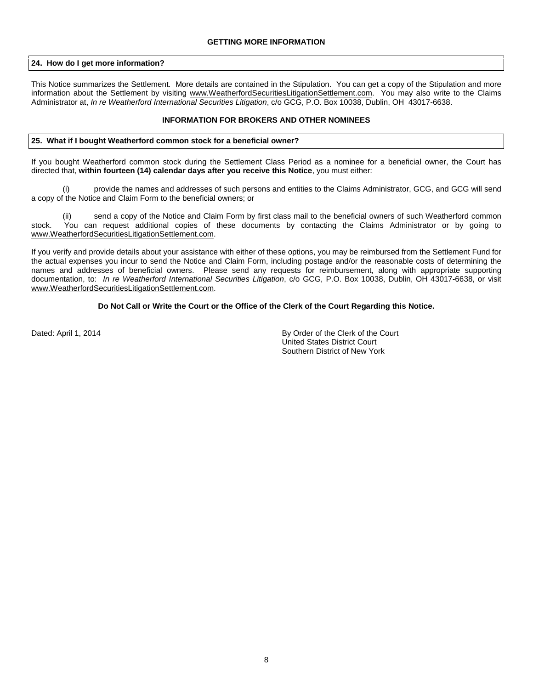## **24. How do I get more information?**

This Notice summarizes the Settlement. More details are contained in the Stipulation. You can get a copy of the Stipulation and more information about the Settlement by visiting www.WeatherfordSecuritiesLitigationSettlement.com. You may also write to the Claims Administrator at, *In re Weatherford International Securities Litigation*, c/o GCG, P.O. Box 10038, Dublin, OH 43017-6638.

## **INFORMATION FOR BROKERS AND OTHER NOMINEES**

### **25. What if I bought Weatherford common stock for a beneficial owner?**

If you bought Weatherford common stock during the Settlement Class Period as a nominee for a beneficial owner, the Court has directed that, **within fourteen (14) calendar days after you receive this Notice**, you must either:

(i) provide the names and addresses of such persons and entities to the Claims Administrator, GCG, and GCG will send a copy of the Notice and Claim Form to the beneficial owners; or

send a copy of the Notice and Claim Form by first class mail to the beneficial owners of such Weatherford common stock. You can request additional copies of these documents by contacting the Claims Administrator or by going to [www.WeatherfordSecuritiesLitigationSettlement.com.](http://www.weatherfordsecuritieslitigationsettlement.com/)

If you verify and provide details about your assistance with either of these options, you may be reimbursed from the Settlement Fund for the actual expenses you incur to send the Notice and Claim Form, including postage and/or the reasonable costs of determining the names and addresses of beneficial owners. Please send any requests for reimbursement, along with appropriate supporting documentation, to: *In re Weatherford International Securities Litigation*, c/o GCG, P.O. Box 10038, Dublin, OH 43017-6638, or visit [www.WeatherfordSecuritiesLitigationSettlement.com.](http://www.weatherfordsecuritieslitigationsettlement.com/)

### **Do Not Call or Write the Court or the Office of the Clerk of the Court Regarding this Notice.**

Dated: April 1, 2014 **By Order of the Clerk of the Court** United States District Court Southern District of New York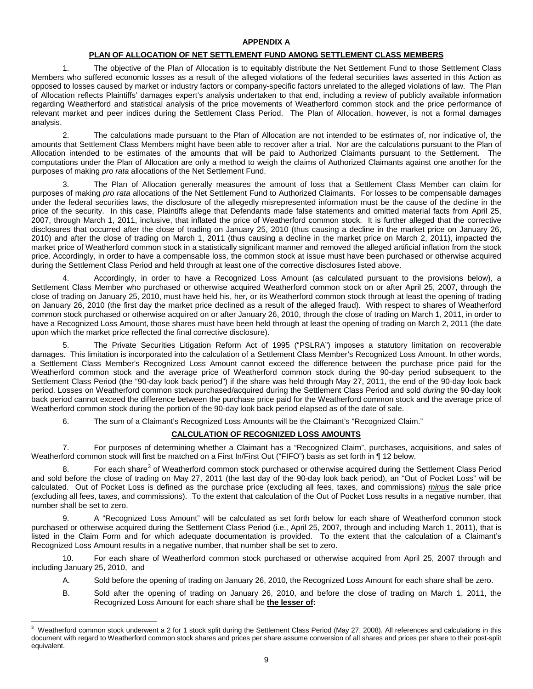# **APPENDIX A**

## **PLAN OF ALLOCATION OF NET SETTLEMENT FUND AMONG SETTLEMENT CLASS MEMBERS**

1. The objective of the Plan of Allocation is to equitably distribute the Net Settlement Fund to those Settlement Class Members who suffered economic losses as a result of the alleged violations of the federal securities laws asserted in this Action as opposed to losses caused by market or industry factors or company-specific factors unrelated to the alleged violations of law. The Plan of Allocation reflects Plaintiffs' damages expert's analysis undertaken to that end, including a review of publicly available information regarding Weatherford and statistical analysis of the price movements of Weatherford common stock and the price performance of relevant market and peer indices during the Settlement Class Period. The Plan of Allocation, however, is not a formal damages analysis.

2. The calculations made pursuant to the Plan of Allocation are not intended to be estimates of, nor indicative of, the amounts that Settlement Class Members might have been able to recover after a trial. Nor are the calculations pursuant to the Plan of Allocation intended to be estimates of the amounts that will be paid to Authorized Claimants pursuant to the Settlement. The computations under the Plan of Allocation are only a method to weigh the claims of Authorized Claimants against one another for the purposes of making *pro rata* allocations of the Net Settlement Fund.

3. The Plan of Allocation generally measures the amount of loss that a Settlement Class Member can claim for purposes of making *pro rata* allocations of the Net Settlement Fund to Authorized Claimants. For losses to be compensable damages under the federal securities laws, the disclosure of the allegedly misrepresented information must be the cause of the decline in the price of the security. In this case, Plaintiffs allege that Defendants made false statements and omitted material facts from April 25, 2007, through March 1, 2011, inclusive, that inflated the price of Weatherford common stock. It is further alleged that the corrective disclosures that occurred after the close of trading on January 25, 2010 (thus causing a decline in the market price on January 26, 2010) and after the close of trading on March 1, 2011 (thus causing a decline in the market price on March 2, 2011), impacted the market price of Weatherford common stock in a statistically significant manner and removed the alleged artificial inflation from the stock price. Accordingly, in order to have a compensable loss, the common stock at issue must have been purchased or otherwise acquired during the Settlement Class Period and held through at least one of the corrective disclosures listed above.

4. Accordingly, in order to have a Recognized Loss Amount (as calculated pursuant to the provisions below), a Settlement Class Member who purchased or otherwise acquired Weatherford common stock on or after April 25, 2007, through the close of trading on January 25, 2010, must have held his, her, or its Weatherford common stock through at least the opening of trading on January 26, 2010 (the first day the market price declined as a result of the alleged fraud). With respect to shares of Weatherford common stock purchased or otherwise acquired on or after January 26, 2010, through the close of trading on March 1, 2011, in order to have a Recognized Loss Amount, those shares must have been held through at least the opening of trading on March 2, 2011 (the date upon which the market price reflected the final corrective disclosure).

5. The Private Securities Litigation Reform Act of 1995 ("PSLRA") imposes a statutory limitation on recoverable damages. This limitation is incorporated into the calculation of a Settlement Class Member's Recognized Loss Amount. In other words, a Settlement Class Member's Recognized Loss Amount cannot exceed the difference between the purchase price paid for the Weatherford common stock and the average price of Weatherford common stock during the 90-day period subsequent to the Settlement Class Period (the "90-day look back period") if the share was held through May 27, 2011, the end of the 90-day look back period. Losses on Weatherford common stock purchased/acquired during the Settlement Class Period and sold *during* the 90-day look back period cannot exceed the difference between the purchase price paid for the Weatherford common stock and the average price of Weatherford common stock during the portion of the 90-day look back period elapsed as of the date of sale.

6. The sum of a Claimant's Recognized Loss Amounts will be the Claimant's "Recognized Claim."

# **CALCULATION OF RECOGNIZED LOSS AMOUNTS**

7. For purposes of determining whether a Claimant has a "Recognized Claim", purchases, acquisitions, and sales of Weatherford common stock will first be matched on a First In/First Out ("FIFO") basis as set forth in ¶ 12 below.

8. For each share<sup>[3](#page-8-0)</sup> of Weatherford common stock purchased or otherwise acquired during the Settlement Class Period and sold before the close of trading on May 27, 2011 (the last day of the 90-day look back period), an "Out of Pocket Loss" will be calculated. Out of Pocket Loss is defined as the purchase price (excluding all fees, taxes, and commissions) *minus* the sale price (excluding all fees, taxes, and commissions). To the extent that calculation of the Out of Pocket Loss results in a negative number, that number shall be set to zero.

9. A "Recognized Loss Amount" will be calculated as set forth below for each share of Weatherford common stock purchased or otherwise acquired during the Settlement Class Period (i.e., April 25, 2007, through and including March 1, 2011), that is listed in the Claim Form and for which adequate documentation is provided. To the extent that the calculation of a Claimant's Recognized Loss Amount results in a negative number, that number shall be set to zero.

10. For each share of Weatherford common stock purchased or otherwise acquired from April 25, 2007 through and including January 25, 2010, and

- A. Sold before the opening of trading on January 26, 2010, the Recognized Loss Amount for each share shall be zero.
- B. Sold after the opening of trading on January 26, 2010, and before the close of trading on March 1, 2011, the Recognized Loss Amount for each share shall be **the lesser of:**

<span id="page-8-0"></span><sup>-&</sup>lt;br>3 Weatherford common stock underwent a 2 for 1 stock split during the Settlement Class Period (May 27, 2008). All references and calculations in this document with regard to Weatherford common stock shares and prices per share assume conversion of all shares and prices per share to their post-split equivalent.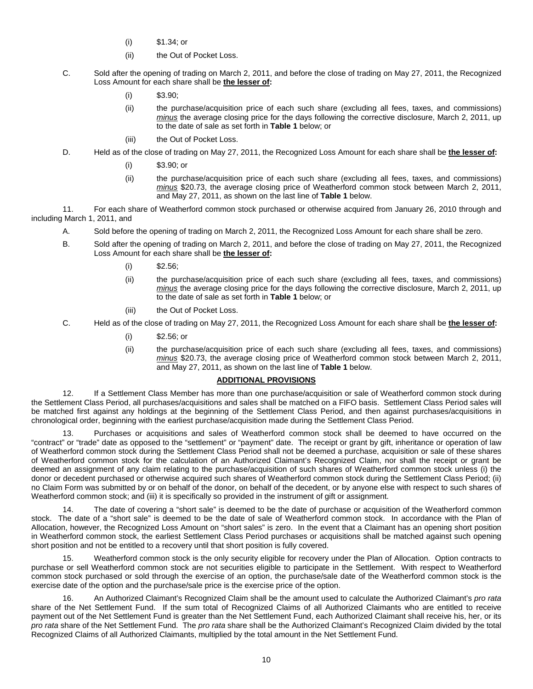- (i) \$1.34; or
- (ii) the Out of Pocket Loss.
- C. Sold after the opening of trading on March 2, 2011, and before the close of trading on May 27, 2011, the Recognized Loss Amount for each share shall be **the lesser of:**
	- (i)  $$3.90;$
	- (ii) the purchase/acquisition price of each such share (excluding all fees, taxes, and commissions) *minus* the average closing price for the days following the corrective disclosure, March 2, 2011, up to the date of sale as set forth in **Table 1** below; or
	- (iii) the Out of Pocket Loss.
- D. Held as of the close of trading on May 27, 2011, the Recognized Loss Amount for each share shall be **the lesser of:** 
	- (i) \$3.90; or
	- (ii) the purchase/acquisition price of each such share (excluding all fees, taxes, and commissions) *minus* \$20.73, the average closing price of Weatherford common stock between March 2, 2011, and May 27, 2011, as shown on the last line of **Table 1** below.

11. For each share of Weatherford common stock purchased or otherwise acquired from January 26, 2010 through and including March 1, 2011, and

- A. Sold before the opening of trading on March 2, 2011, the Recognized Loss Amount for each share shall be zero.
- B. Sold after the opening of trading on March 2, 2011, and before the close of trading on May 27, 2011, the Recognized Loss Amount for each share shall be **the lesser of:**
	- $(i)$  \$2.56;
	- (ii) the purchase/acquisition price of each such share (excluding all fees, taxes, and commissions) *minus* the average closing price for the days following the corrective disclosure, March 2, 2011, up to the date of sale as set forth in **Table 1** below; or
	- (iii) the Out of Pocket Loss.
- C. Held as of the close of trading on May 27, 2011, the Recognized Loss Amount for each share shall be **the lesser of:** 
	- (i) \$2.56; or
	- (ii) the purchase/acquisition price of each such share (excluding all fees, taxes, and commissions) *minus* \$20.73, the average closing price of Weatherford common stock between March 2, 2011, and May 27, 2011, as shown on the last line of **Table 1** below.

## **ADDITIONAL PROVISIONS**

12. If a Settlement Class Member has more than one purchase/acquisition or sale of Weatherford common stock during the Settlement Class Period, all purchases/acquisitions and sales shall be matched on a FIFO basis. Settlement Class Period sales will be matched first against any holdings at the beginning of the Settlement Class Period, and then against purchases/acquisitions in chronological order, beginning with the earliest purchase/acquisition made during the Settlement Class Period.

13. Purchases or acquisitions and sales of Weatherford common stock shall be deemed to have occurred on the "contract" or "trade" date as opposed to the "settlement" or "payment" date. The receipt or grant by gift, inheritance or operation of law of Weatherford common stock during the Settlement Class Period shall not be deemed a purchase, acquisition or sale of these shares of Weatherford common stock for the calculation of an Authorized Claimant's Recognized Claim, nor shall the receipt or grant be deemed an assignment of any claim relating to the purchase/acquisition of such shares of Weatherford common stock unless (i) the donor or decedent purchased or otherwise acquired such shares of Weatherford common stock during the Settlement Class Period; (ii) no Claim Form was submitted by or on behalf of the donor, on behalf of the decedent, or by anyone else with respect to such shares of Weatherford common stock; and (iii) it is specifically so provided in the instrument of gift or assignment.

The date of covering a "short sale" is deemed to be the date of purchase or acquisition of the Weatherford common stock. The date of a "short sale" is deemed to be the date of sale of Weatherford common stock. In accordance with the Plan of Allocation, however, the Recognized Loss Amount on "short sales" is zero. In the event that a Claimant has an opening short position in Weatherford common stock, the earliest Settlement Class Period purchases or acquisitions shall be matched against such opening short position and not be entitled to a recovery until that short position is fully covered.

15. Weatherford common stock is the only security eligible for recovery under the Plan of Allocation. Option contracts to purchase or sell Weatherford common stock are not securities eligible to participate in the Settlement. With respect to Weatherford common stock purchased or sold through the exercise of an option, the purchase/sale date of the Weatherford common stock is the exercise date of the option and the purchase/sale price is the exercise price of the option.

16. An Authorized Claimant's Recognized Claim shall be the amount used to calculate the Authorized Claimant's *pro rata*  share of the Net Settlement Fund. If the sum total of Recognized Claims of all Authorized Claimants who are entitled to receive payment out of the Net Settlement Fund is greater than the Net Settlement Fund, each Authorized Claimant shall receive his, her, or its *pro rata* share of the Net Settlement Fund. The *pro rata* share shall be the Authorized Claimant's Recognized Claim divided by the total Recognized Claims of all Authorized Claimants, multiplied by the total amount in the Net Settlement Fund.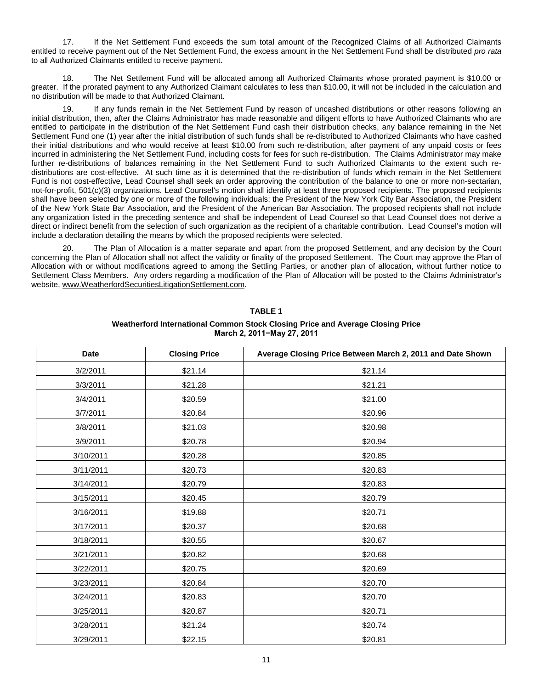17. If the Net Settlement Fund exceeds the sum total amount of the Recognized Claims of all Authorized Claimants entitled to receive payment out of the Net Settlement Fund, the excess amount in the Net Settlement Fund shall be distributed *pro rata*  to all Authorized Claimants entitled to receive payment.

18. The Net Settlement Fund will be allocated among all Authorized Claimants whose prorated payment is \$10.00 or greater. If the prorated payment to any Authorized Claimant calculates to less than \$10.00, it will not be included in the calculation and no distribution will be made to that Authorized Claimant.

19. If any funds remain in the Net Settlement Fund by reason of uncashed distributions or other reasons following an initial distribution, then, after the Claims Administrator has made reasonable and diligent efforts to have Authorized Claimants who are entitled to participate in the distribution of the Net Settlement Fund cash their distribution checks, any balance remaining in the Net Settlement Fund one (1) year after the initial distribution of such funds shall be re-distributed to Authorized Claimants who have cashed their initial distributions and who would receive at least \$10.00 from such re-distribution, after payment of any unpaid costs or fees incurred in administering the Net Settlement Fund, including costs for fees for such re-distribution. The Claims Administrator may make further re-distributions of balances remaining in the Net Settlement Fund to such Authorized Claimants to the extent such redistributions are cost-effective. At such time as it is determined that the re-distribution of funds which remain in the Net Settlement Fund is not cost-effective, Lead Counsel shall seek an order approving the contribution of the balance to one or more non-sectarian, not-for-profit, 501(c)(3) organizations. Lead Counsel's motion shall identify at least three proposed recipients. The proposed recipients shall have been selected by one or more of the following individuals: the President of the New York City Bar Association, the President of the New York State Bar Association, and the President of the American Bar Association. The proposed recipients shall not include any organization listed in the preceding sentence and shall be independent of Lead Counsel so that Lead Counsel does not derive a direct or indirect benefit from the selection of such organization as the recipient of a charitable contribution. Lead Counsel's motion will include a declaration detailing the means by which the proposed recipients were selected.

20. The Plan of Allocation is a matter separate and apart from the proposed Settlement, and any decision by the Court concerning the Plan of Allocation shall not affect the validity or finality of the proposed Settlement. The Court may approve the Plan of Allocation with or without modifications agreed to among the Settling Parties, or another plan of allocation, without further notice to Settlement Class Members. Any orders regarding a modification of the Plan of Allocation will be posted to the Claims Administrator's website[, www.WeatherfordSecuritiesLitigationSettlement.com.](http://www.weatherfordsecuritieslitigationsettlement.com/)

| <b>Date</b> | <b>Closing Price</b> | Average Closing Price Between March 2, 2011 and Date Shown |
|-------------|----------------------|------------------------------------------------------------|
| 3/2/2011    | \$21.14              | \$21.14                                                    |
| 3/3/2011    | \$21.28              | \$21.21                                                    |
| 3/4/2011    | \$20.59              | \$21.00                                                    |
| 3/7/2011    | \$20.84              | \$20.96                                                    |
| 3/8/2011    | \$21.03              | \$20.98                                                    |
| 3/9/2011    | \$20.78              | \$20.94                                                    |
| 3/10/2011   | \$20.28              | \$20.85                                                    |
| 3/11/2011   | \$20.73              | \$20.83                                                    |
| 3/14/2011   | \$20.79              | \$20.83                                                    |
| 3/15/2011   | \$20.45              | \$20.79                                                    |
| 3/16/2011   | \$19.88              | \$20.71                                                    |
| 3/17/2011   | \$20.37              | \$20.68                                                    |
| 3/18/2011   | \$20.55              | \$20.67                                                    |
| 3/21/2011   | \$20.82              | \$20.68                                                    |
| 3/22/2011   | \$20.75              | \$20.69                                                    |
| 3/23/2011   | \$20.84              | \$20.70                                                    |
| 3/24/2011   | \$20.83              | \$20.70                                                    |
| 3/25/2011   | \$20.87              | \$20.71                                                    |
| 3/28/2011   | \$21.24              | \$20.74                                                    |
| 3/29/2011   | \$22.15              | \$20.81                                                    |

# **TABLE 1**

## **Weatherford International Common Stock Closing Price and Average Closing Price March 2, 2011−May 27, 2011**